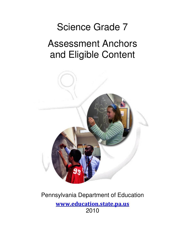# Science Grade 7

## Assessment Anchors and Eligible Content



### Pennsylvania Department of Education www.education.state.pa.us 2010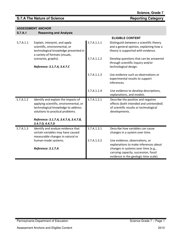### **S.7.A The Nature of Science <b>Reporting Category Reporting Category**

| S.7.A.1   | <b>Reasoning and Analysis</b>                                                                                                                           |             |                                                                                                                                         |
|-----------|---------------------------------------------------------------------------------------------------------------------------------------------------------|-------------|-----------------------------------------------------------------------------------------------------------------------------------------|
|           |                                                                                                                                                         |             | <b>ELIGIBLE CONTENT</b>                                                                                                                 |
| S.7.A.1.1 | Explain, interpret, and apply<br>scientific, environmental, or<br>technological knowledge presented in<br>a variety of formats (visuals,                | S.7.A.1.1.1 | Distinguish between a scientific theory<br>and a general opinion, explaining how a<br>theory is supported with evidence.                |
|           | scenarios, graphs).                                                                                                                                     | S.7.A.1.1.2 | Develop questions that can be answered<br>through scientific inquiry and/or                                                             |
|           | Reference: 3.1.7.A, 3.4.7.C                                                                                                                             |             | technological design.                                                                                                                   |
|           |                                                                                                                                                         | S.7.A.1.1.3 | Use evidence such as observations or<br>experimental results to support<br>inferences.                                                  |
|           |                                                                                                                                                         | S.7.A.1.1.4 | Use evidence to develop descriptions,<br>explanations, and models.                                                                      |
| S.7.A.1.2 | Identify and explain the impacts of<br>applying scientific, environmental, or<br>technological knowledge to address<br>solutions to practical problems. | S.7.A.1.2.1 | Describe the positive and negative<br>effects (both intended and unintended)<br>of scientific results or technological<br>developments. |
|           | Reference: 3.1.7.A, 3.4.7.A, 3.4.7.B,<br>3.4.7.D, 4.4.7.D                                                                                               |             |                                                                                                                                         |
| S.7.A.1.3 | Identify and analyze evidence that<br>certain variables may have caused<br>measurable changes in natural or                                             | S.7.A.1.3.1 | Describe how variables can cause<br>changes in a system over time.                                                                      |
|           | human-made systems.                                                                                                                                     | S.7.A.1.3.2 | Use evidence, observations, or<br>explanations to make inferences about                                                                 |
|           | Reference: 3.1.7.A                                                                                                                                      |             | changes in systems over time (e.g.,<br>carrying capacity, succession, fossil<br>evidence in the geologic time scale).                   |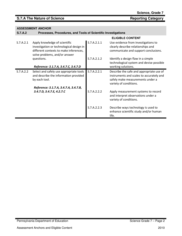### **S.7.A The Nature of Science Reporting Category Reporting Category**

| <b>S.7.A.2</b> | Processes, Procedures, and Tools of Scientific Investigations                                                                                        |             |                                                                                                                                                    |
|----------------|------------------------------------------------------------------------------------------------------------------------------------------------------|-------------|----------------------------------------------------------------------------------------------------------------------------------------------------|
|                |                                                                                                                                                      |             | <b>ELIGIBLE CONTENT</b>                                                                                                                            |
| S.7.A.2.1      | Apply knowledge of scientific<br>investigation or technological design in<br>different contexts to make inferences,<br>solve problems, and/or answer | S.7.A.2.1.1 | Use evidence from investigations to<br>clearly describe relationships and<br>communicate and support conclusions.                                  |
|                | questions.<br>Reference: 3.1.7.A, 3.4.7.C, 3.4.7.D                                                                                                   | S.7.A.2.1.2 | Identify a design flaw in a simple<br>technological system and devise possible<br>working solutions.                                               |
| S.7.A.2.2      | Select and safely use appropriate tools<br>and describe the information provided<br>by each tool.                                                    | S.7.A.2.2.1 | Describe the safe and appropriate use of<br>instruments and scales to accurately and<br>safely make measurements under a<br>variety of conditions. |
|                | Reference: 3.1.7.A, 3.4.7.A, 3.4.7.B,                                                                                                                |             |                                                                                                                                                    |
|                | 3.4.7.D, 3.4.7.E, 4.2.7.C                                                                                                                            | S.7.A.2.2.2 | Apply measurement systems to record<br>and interpret observations under a<br>variety of conditions.                                                |
|                |                                                                                                                                                      | S.7.A.2.2.3 | Describe ways technology is used to<br>enhance scientific study and/or human<br>life.                                                              |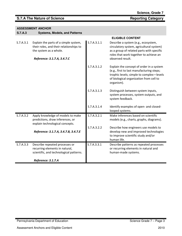**S.7.A.3 Systems, Models, and Patterns** 

|           |                                                                                                                                           |             | <b>ELIGIBLE CONTENT</b>                                                                                                                                                                    |
|-----------|-------------------------------------------------------------------------------------------------------------------------------------------|-------------|--------------------------------------------------------------------------------------------------------------------------------------------------------------------------------------------|
| S.7.A.3.1 | Explain the parts of a simple system,<br>their roles, and their relationships to<br>the system as a whole.<br>Reference: 3.1.7.A, 3.4.7.C | S.7.A.3.1.1 | Describe a system (e.g., ecosystem,<br>circulatory system, agricultural system)<br>as a group of related parts with specific<br>roles that work together to achieve an<br>observed result. |
|           |                                                                                                                                           | S.7.A.3.1.2 | Explain the concept of order in a system<br>(e.g., first to last manufacturing steps;<br>trophic levels; simple to complex-levels<br>of biological organization from cell to<br>organism). |
|           |                                                                                                                                           | S.7.A.3.1.3 | Distinguish between system inputs,<br>system processes, system outputs, and<br>system feedback.                                                                                            |
|           |                                                                                                                                           | S.7.A.3.1.4 | Identify examples of open- and closed-<br>looped systems.                                                                                                                                  |
| S.7.A.3.2 | Apply knowledge of models to make<br>predictions, draw inferences, or<br>explain technological concepts.                                  | S.7.A.3.2.1 | Make inferences based on scientific<br>models (e.g., charts, graphs, diagrams).                                                                                                            |
|           | Reference: 3.1.7.A, 3.4.7.B, 3.4.7.E                                                                                                      | S.7.A.3.2.2 | Describe how engineers use models to<br>develop new and improved technologies<br>to improve scientific study and/or<br>human life.                                                         |
| S.7.A.3.3 | Describe repeated processes or<br>recurring elements in natural,<br>scientific, and technological patterns.                               | S.7.A.3.3.1 | Describe patterns as repeated processes<br>or recurring elements in natural and<br>human-made systems.                                                                                     |
|           | Reference: 3.1.7.A                                                                                                                        |             |                                                                                                                                                                                            |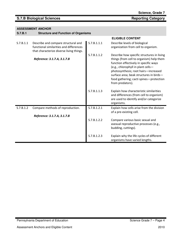### **S.7.B Biological Sciences Reporting Category Reporting Category**

### **ASSESSMENT ANCHOR S.7.B.1 Structure and Function of Organisms**

|           |                                                                                                                            |             | <b>ELIGIBLE CONTENT</b>                                                                                                                                                                                                                                                                                                 |
|-----------|----------------------------------------------------------------------------------------------------------------------------|-------------|-------------------------------------------------------------------------------------------------------------------------------------------------------------------------------------------------------------------------------------------------------------------------------------------------------------------------|
| S.7.B.1.1 | Describe and compare structural and<br>functional similarities and differences<br>that characterize diverse living things. | S.7.B.1.1.1 | Describe levels of biological<br>organization from cell to organism.                                                                                                                                                                                                                                                    |
|           | Reference: 3.1.7.A, 3.1.7.B                                                                                                | S.7.B.1.1.2 | Describe how specific structures in living<br>things (from cell to organism) help them<br>function effectively in specific ways<br>(e.g., chlorophyll in plant cells-<br>photosynthesis; root hairs-increased<br>surface area; beak structures in birds-<br>food gathering; cacti spines-protection<br>from predators). |
|           |                                                                                                                            | S.7.B.1.1.3 | Explain how characteristic similarities<br>and differences (from cell to organism)<br>are used to identify and/or categorize<br>organisms.                                                                                                                                                                              |
| S.7.B.1.2 | Compare methods of reproduction.                                                                                           | S.7.B.1.2.1 | Explain how cells arise from the division<br>of a pre-existing cell.                                                                                                                                                                                                                                                    |
|           | Reference: 3.1.7.A, 3.1.7.B                                                                                                | S.7.B.1.2.2 | Compare various basic sexual and<br>asexual reproductive processes (e.g.,<br>budding, cuttings).                                                                                                                                                                                                                        |
|           |                                                                                                                            | S.7.B.1.2.3 | Explain why the life cycles of different<br>organisms have varied lengths.                                                                                                                                                                                                                                              |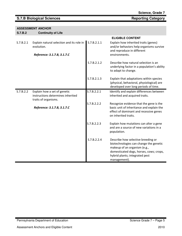### **S.7.B Biological Sciences Reporting Category Reporting Category**

### **ASSESSMENT ANCHOR**

**S.7.B.2 Continuity of Life** 

|           |                                                                                           |             | <b>ELIGIBLE CONTENT</b>                                                                                                                                                                                   |
|-----------|-------------------------------------------------------------------------------------------|-------------|-----------------------------------------------------------------------------------------------------------------------------------------------------------------------------------------------------------|
| S.7.B.2.1 | Explain natural selection and its role in<br>evolution.                                   | S.7.B.2.1.1 | Explain how inherited traits (genes)<br>and/or behaviors help organisms survive<br>and reproduce in different                                                                                             |
|           | Reference: 3.1.7.B, 3.1.7.C                                                               |             | environments.                                                                                                                                                                                             |
|           |                                                                                           | S.7.B.2.1.2 | Describe how natural selection is an<br>underlying factor in a population's ability<br>to adapt to change.                                                                                                |
|           |                                                                                           | S.7.B.2.1.3 | Explain that adaptations within species<br>(physical, behavioral, physiological) are<br>developed over long periods of time.                                                                              |
| S.7.B.2.2 | Explain how a set of genetic<br>instructions determines inherited<br>traits of organisms. | S.7.B.2.2.1 | Identify and explain differences between<br>inherited and acquired traits.                                                                                                                                |
|           | Reference: 3.1.7.B, 3.1.7.C                                                               | S.7.B.2.2.2 | Recognize evidence that the gene is the<br>basic unit of inheritance and explain the<br>effect of dominant and recessive genes<br>on inherited traits.                                                    |
|           |                                                                                           | S.7.B.2.2.3 | Explain how mutations can alter a gene<br>and are a source of new variations in a<br>population.                                                                                                          |
|           |                                                                                           | S.7.B.2.2.4 | Describe how selective breeding or<br>biotechnologies can change the genetic<br>makeup of an organism (e.g.,<br>domesticated dogs, horses, cows; crops,<br>hybrid plants; integrated pest<br>management). |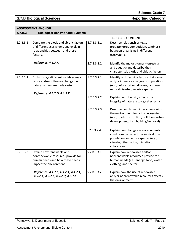S.7.B.3.3 Explain how renewable and

impact the environment.

nonrenewable resources provide for human needs and how these needs

Reference: 4.1.7.E, 4.3.7.A, 4.4.7.A, 4.5.7.A, 4.5.7.C, 4.5.7.D, 4.5.7.E

|           | <b>ASSESSMENT ANCHOR</b>                                                                                                                   |             |                                                                                                                                                                         |  |  |
|-----------|--------------------------------------------------------------------------------------------------------------------------------------------|-------------|-------------------------------------------------------------------------------------------------------------------------------------------------------------------------|--|--|
| S.7.B.3   | <b>Ecological Behavior and Systems</b>                                                                                                     |             |                                                                                                                                                                         |  |  |
|           |                                                                                                                                            |             | <b>ELIGIBLE CONTENT</b>                                                                                                                                                 |  |  |
| S.7.B.3.1 | Compare the biotic and abiotic factors<br>of different ecosystems and explain<br>relationships between and these<br>factors.               | S.7.B.3.1.1 | Describe relationships (e.g.,<br>predator/prey competition, symbiosis)<br>between organisms in different<br>ecosystems.                                                 |  |  |
|           | Reference: 4.1.7.A                                                                                                                         | S.7.B.3.1.2 | Identify the major biomes (terrestrial<br>and aquatic) and describe their<br>characteristic biotic and abiotic factors.                                                 |  |  |
| S.7.B.3.2 | Explain ways different variables may<br>cause and/or influence changes in<br>natural or human-made systems.<br>Reference: 4.5.7.D, 4.1.7.E | S.7.B.3.2.1 | Identify and describe factors that cause<br>and/or influence changes in populations<br>(e.g., deforestation, disease, land use,<br>natural disaster, invasive species). |  |  |
|           |                                                                                                                                            | S.7.B.3.2.2 | Explain how diversity affects the<br>integrity of natural ecological systems.                                                                                           |  |  |
|           |                                                                                                                                            | S.7.B.3.2.3 | Describe how human interactions with<br>the environment impact an ecosystem<br>(e.g., road construction, pollution, urban<br>development, dam building/removal).        |  |  |

S7.B.3.2.4 Explain how changes in environmental

clothing, and shelter).

S.7.B.3.3.2 Explain how the use of renewable

the environment.

coloration).

S.7.B.3.3.1 Explain how renewable and/or

conditions can affect the survival of a population and entire species (e.g., climate, hibernation, migration,

nonrenewable resources provide for human needs (i.e., energy, food, water,

and/or nonrenewable resources affects

### **S.7.B Biological Sciences Reporting Category Reporting Category**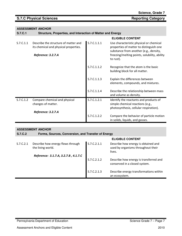| <b>ASSESSMENT ANCHOR</b> |
|--------------------------|
|--------------------------|

| <b>S.7.C.1</b> | Structure, Properties, and Interaction of Matter and Energy                   |             |                                                                                                                              |
|----------------|-------------------------------------------------------------------------------|-------------|------------------------------------------------------------------------------------------------------------------------------|
|                |                                                                               |             | <b>ELIGIBLE CONTENT</b>                                                                                                      |
| S.7.C.1.1      | Describe the structure of matter and<br>its chemical and physical properties. | S.7.C.1.1.1 | Use characteristic physical or chemical<br>properties of matter to distinguish one<br>substance from another (e.g., density, |
|                | Reference: 3.2.7.A                                                            |             | freezing/melting points, solubility, ability<br>to rust).                                                                    |
|                |                                                                               | S.7.C.1.1.2 | Recognize that the atom is the basic<br>building block for all matter.                                                       |
|                |                                                                               | S.7.C.1.1.3 | Explain the differences between<br>elements, compounds, and mixtures.                                                        |
|                |                                                                               | S.7.C.1.1.4 | Describe the relationship between mass<br>and volume as density.                                                             |
| S.7.C.1.2      | Compare chemical and physical                                                 | S.7.C.1.2.1 | Identify the reactants and products of                                                                                       |
|                | changes of matter.                                                            |             | simple chemical reactions (e.g.,<br>photosynthesis, cellular respiration).                                                   |
|                | Reference: 3.2.7.A                                                            |             |                                                                                                                              |
|                |                                                                               | S.7.C.1.2.2 | Compare the behavior of particle motion<br>in solids, liquids, and gasses.                                                   |

| <b>ASSESSMENT ANCHOR</b><br>S.7.C.2<br>Forms, Sources, Conversion, and Transfer of Energy |                                                        |             |                                                                                     |
|-------------------------------------------------------------------------------------------|--------------------------------------------------------|-------------|-------------------------------------------------------------------------------------|
|                                                                                           |                                                        |             | <b>ELIGIBLE CONTENT</b>                                                             |
| S.7.C.2.1                                                                                 | Describe how energy flows through<br>the living world. | S.7.C.2.1.1 | Describe how energy is obtained and<br>used by organisms throughout their<br>lives. |
|                                                                                           | Reference: 3.1.7.A, 3.2.7.B, 4.1.7.C                   |             |                                                                                     |
|                                                                                           |                                                        | S.7.C.2.1.2 | Describe how energy is transferred and<br>conserved in a closed system.             |
|                                                                                           |                                                        | S.7.C.2.1.3 | Describe energy transformations within<br>an ecosystem.                             |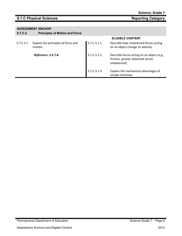### **S.7.C Physical Sciences Reporting Category**

| <b>S.7.C.3</b> | <b>Principles of Motion and Force</b>          |             |                                                                                                  |
|----------------|------------------------------------------------|-------------|--------------------------------------------------------------------------------------------------|
|                |                                                |             | <b>ELIGIBLE CONTENT</b>                                                                          |
| S.7.C.3.1      | Explain the principles of force and<br>motion. | S.7.C.3.1.1 | Describe how unbalanced forces acting<br>on an object change its velocity.                       |
|                | Reference: 3.2.7.B                             | S.7.C.3.1.2 | Describe forces acting on an object (e.g.,<br>friction, gravity, balanced verses<br>unbalanced). |
|                |                                                | S.7.C.3.1.3 | Explain the mechanical advantages of<br>simple machines.                                         |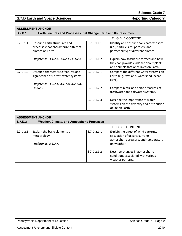### **ASSESSMENT ANCHOR**

**S.7.D.1 Earth Features and Processes that Change Earth and Its Resources** 

|           |                                                                                            |             | <b>ELIGIBLE CONTENT</b>                                                                                                   |
|-----------|--------------------------------------------------------------------------------------------|-------------|---------------------------------------------------------------------------------------------------------------------------|
| S.7.D.1.1 | Describe Earth structures and<br>processes that characterize different<br>biomes on Earth. | S.7.D.1.1.1 | Identify and describe soil characteristics<br>(i.e., particle size, porosity, and<br>permeability) of different biomes.   |
|           | Reference: 3.1.7.C, 3.3.7.A, 4.1.7.A                                                       | S.7.D.1.1.2 | Explain how fossils are formed and how<br>they can provide evidence about plants<br>and animals that once lived on Earth. |
| S.7.D.1.2 | Describe characteristic features and<br>significance of Earth's water systems.             | S.7.D.1.2.1 | Compare the different water systems on<br>Earth (e.g., wetland, watershed, ocean,<br>river).                              |
|           | Reference: 3.3.7.A, 4.1.7.A, 4.2.7.A,<br>4.2.7.B                                           | S.7.D.1.2.2 | Compare biotic and abiotic features of<br>freshwater and saltwater systems.                                               |
|           |                                                                                            | S.7.D.1.2.3 | Describe the importance of water<br>systems on the diversity and distribution<br>of life on Earth.                        |

### **ASSESSMENT ANCHOR S.7.D.2 Weather, Climate, and Atmospheric Processes ELIGIBLE CONTENT**  S.7.D.2.1 Explain the basic elements of meteorology. Reference: 3.3.7.A S.7.D.2.1.1 Explain the effect of wind patterns, circulation of oceans currents, atmospheric pressure, and temperature on weather. S 7.D.2.1.2 Describe changes in atmospheric conditions associated with various weather patterns.